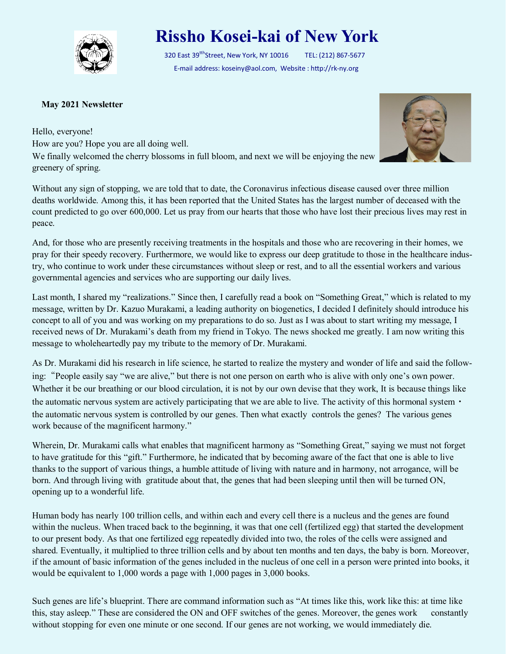

## **Rissho Kosei-kai of New York**

320 East 39<sup>tth</sup>Street, New York, NY 10016 TEL: (212) 867-5677 E-mail address: koseiny@aol.com, Website : http://rk-ny.org

## **May 2021 Newsletter**

Hello, everyone! How are you? Hope you are all doing well. We finally welcomed the cherry blossoms in full bloom, and next we will be enjoying the new greenery of spring.



And, for those who are presently receiving treatments in the hospitals and those who are recovering in their homes, we pray for their speedy recovery. Furthermore, we would like to express our deep gratitude to those in the healthcare industry, who continue to work under these circumstances without sleep or rest, and to all the essential workers and various governmental agencies and services who are supporting our daily lives.

Last month, I shared my "realizations." Since then, I carefully read a book on "Something Great," which is related to my message, written by Dr. Kazuo Murakami, a leading authority on biogenetics, I decided I definitely should introduce his concept to all of you and was working on my preparations to do so. Just as I was about to start writing my message, I received news of Dr. Murakami's death from my friend in Tokyo. The news shocked me greatly. I am now writing this message to wholeheartedly pay my tribute to the memory of Dr. Murakami.

As Dr. Murakami did his research in life science, he started to realize the mystery and wonder of life and said the following:"People easily say "we are alive," but there is not one person on earth who is alive with only one's own power. Whether it be our breathing or our blood circulation, it is not by our own devise that they work, It is because things like the automatic nervous system are actively participating that we are able to live. The activity of this hormonal system  $\cdot$ the automatic nervous system is controlled by our genes. Then what exactly controls the genes? The various genes work because of the magnificent harmony."

Wherein, Dr. Murakami calls what enables that magnificent harmony as "Something Great," saying we must not forget to have gratitude for this "gift." Furthermore, he indicated that by becoming aware of the fact that one is able to live thanks to the support of various things, a humble attitude of living with nature and in harmony, not arrogance, will be born. And through living with gratitude about that, the genes that had been sleeping until then will be turned ON, opening up to a wonderful life.

Human body has nearly 100 trillion cells, and within each and every cell there is a nucleus and the genes are found within the nucleus. When traced back to the beginning, it was that one cell (fertilized egg) that started the development to our present body. As that one fertilized egg repeatedly divided into two, the roles of the cells were assigned and shared. Eventually, it multiplied to three trillion cells and by about ten months and ten days, the baby is born. Moreover, if the amount of basic information of the genes included in the nucleus of one cell in a person were printed into books, it would be equivalent to 1,000 words a page with 1,000 pages in 3,000 books.

Such genes are life's blueprint. There are command information such as "At times like this, work like this: at time like this, stay asleep." These are considered the ON and OFF switches of the genes. Moreover, the genes work constantly without stopping for even one minute or one second. If our genes are not working, we would immediately die.